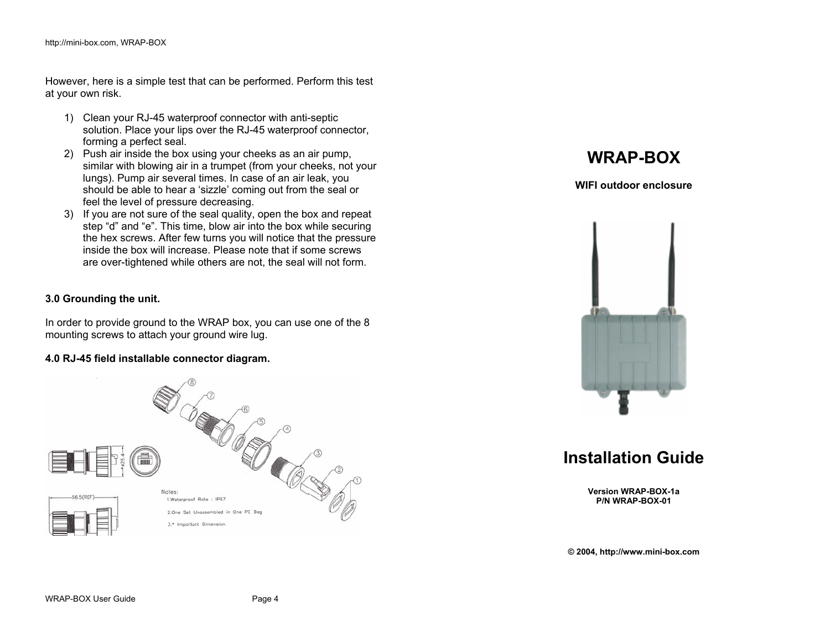However, here is a simple test that can be performed. Perform this test at your own risk.

- 1) Clean your RJ-45 waterproof connector with anti-septic solution. Place your lips over the RJ-45 waterproof connector, forming a perfect seal.
- 2) Push air inside the box using your cheeks as an air pump, similar with blowing air in a trumpet (from your cheeks, not your lungs). Pump air several times. In case of an air leak, you should be able to hear a 'sizzle' coming out from the seal or feel the level of pressure decreasing.
- 3) If you are not sure of the seal quality, open the box and repeat step "d" and "e". This time, blow air into the box while securing the hex screws. After few turns you will notice that the pressure inside the box will increase. Please note that if some screws are over-tightened while others are not, the seal will not form.

#### **3.0 Grounding the unit.**

In order to provide ground to the WRAP box, you can use one of the 8 mounting screws to attach your ground wire lug.

#### **4.0 RJ-45 field installable connector diagram.**



# **WRAP-BOX**

**WIFI outdoor enclosure** 



**Installation Guide** 

**Version WRAP-BOX-1a P/N WRAP-BOX-01** 

**© 2004, http://www.mini-box.com**